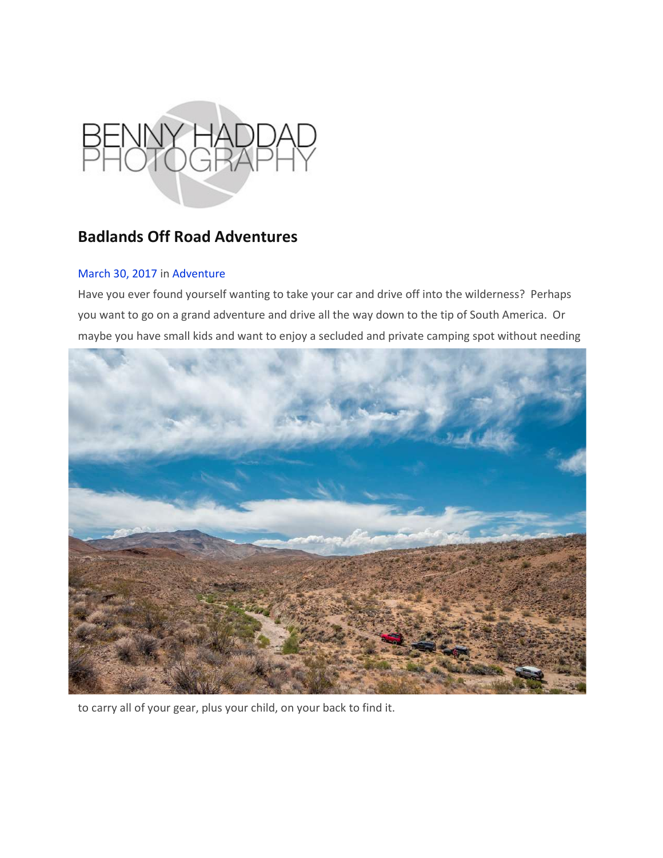

## Badlands Off Road Adventures

## March 30, 2017 in Adventure

Have you ever found yourself wanting to take your car and drive off into the wilderness? Perhaps you want to go on a grand adventure and drive all the way down to the tip of South America. Or maybe you have small kids and want to enjoy a secluded and private camping spot without needing



to carry all of your gear, plus your child, on your back to find it.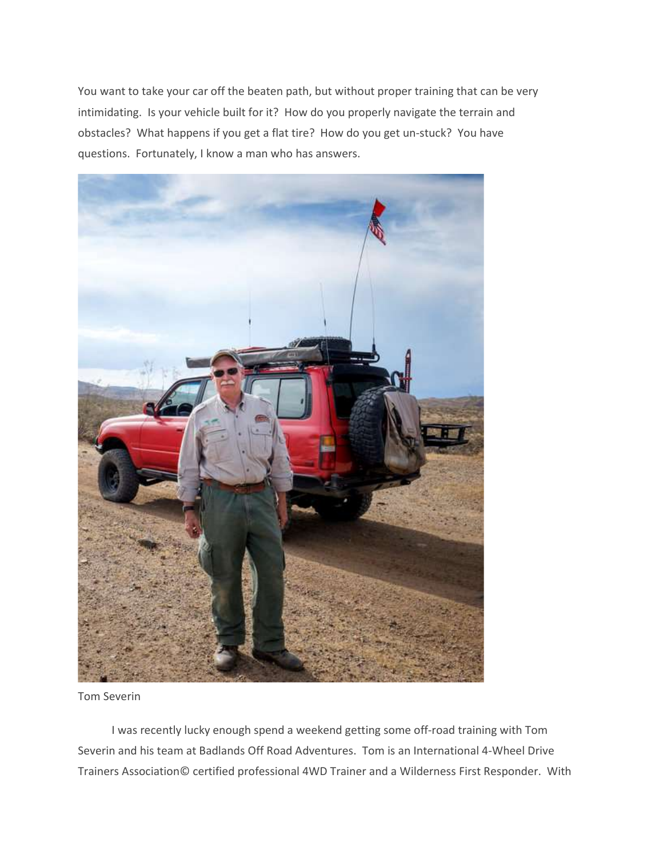You want to take your car off the beaten path, but without proper training that can be very intimidating. Is your vehicle built for it? How do you properly navigate the terrain and obstacles? What happens if you get a flat tire? How do you get un-stuck? You have questions. Fortunately, I know a man who has answers.



Tom Severin

 I was recently lucky enough spend a weekend getting some off-road training with Tom Severin and his team at Badlands Off Road Adventures. Tom is an International 4-Wheel Drive Trainers Association© certified professional 4WD Trainer and a Wilderness First Responder. With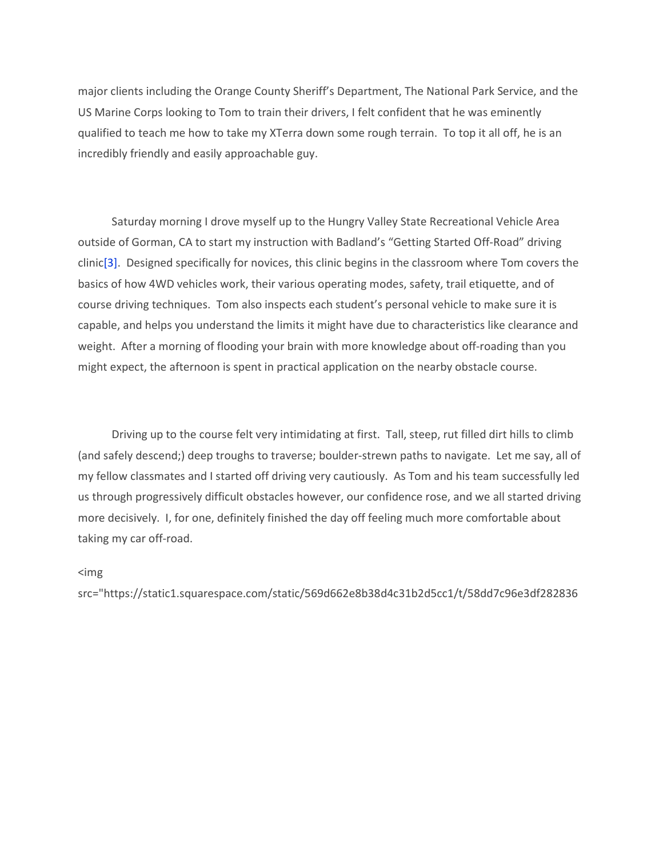major clients including the Orange County Sheriff's Department, The National Park Service, and the US Marine Corps looking to Tom to train their drivers, I felt confident that he was eminently qualified to teach me how to take my XTerra down some rough terrain. To top it all off, he is an incredibly friendly and easily approachable guy.

 Saturday morning I drove myself up to the Hungry Valley State Recreational Vehicle Area outside of Gorman, CA to start my instruction with Badland's "Getting Started Off-Road" driving clinic[3]. Designed specifically for novices, this clinic begins in the classroom where Tom covers the basics of how 4WD vehicles work, their various operating modes, safety, trail etiquette, and of course driving techniques. Tom also inspects each student's personal vehicle to make sure it is capable, and helps you understand the limits it might have due to characteristics like clearance and weight. After a morning of flooding your brain with more knowledge about off-roading than you might expect, the afternoon is spent in practical application on the nearby obstacle course.

 Driving up to the course felt very intimidating at first. Tall, steep, rut filled dirt hills to climb (and safely descend;) deep troughs to traverse; boulder-strewn paths to navigate. Let me say, all of my fellow classmates and I started off driving very cautiously. As Tom and his team successfully led us through progressively difficult obstacles however, our confidence rose, and we all started driving more decisively. I, for one, definitely finished the day off feeling much more comfortable about taking my car off-road.

## <img

src="https://static1.squarespace.com/static/569d662e8b38d4c31b2d5cc1/t/58dd7c96e3df282836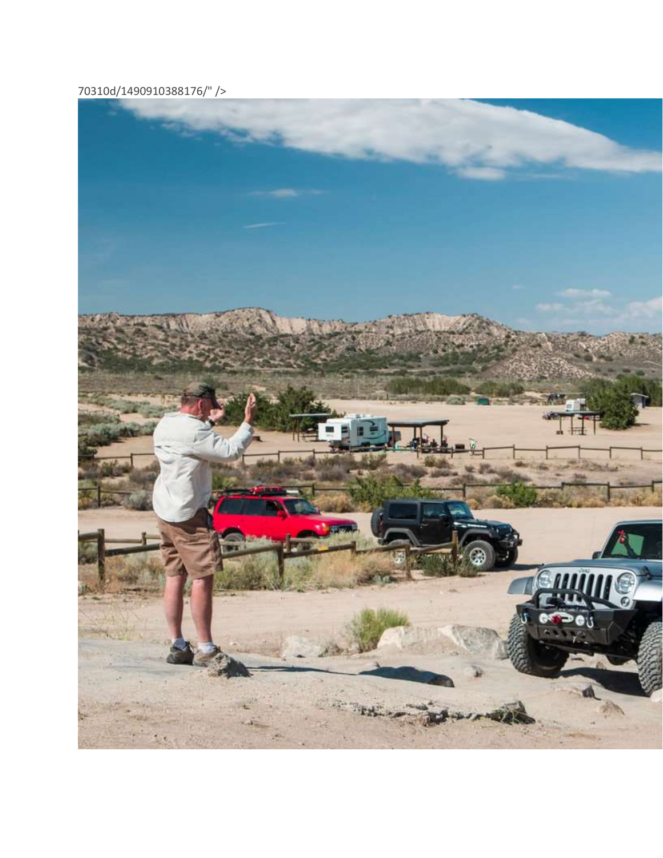70310d/1490910388176/" />

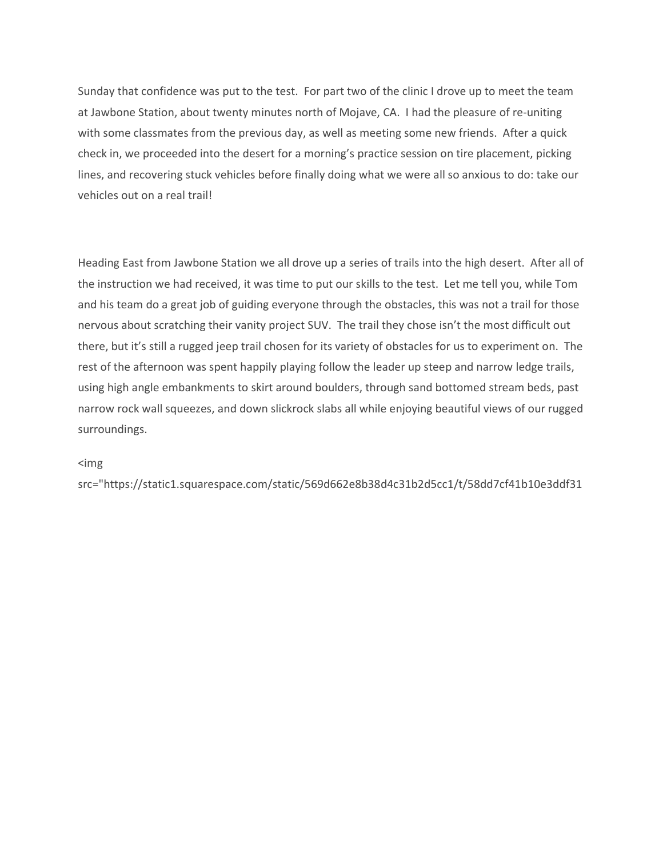Sunday that confidence was put to the test. For part two of the clinic I drove up to meet the team at Jawbone Station, about twenty minutes north of Mojave, CA. I had the pleasure of re-uniting with some classmates from the previous day, as well as meeting some new friends. After a quick check in, we proceeded into the desert for a morning's practice session on tire placement, picking lines, and recovering stuck vehicles before finally doing what we were all so anxious to do: take our vehicles out on a real trail!

Heading East from Jawbone Station we all drove up a series of trails into the high desert. After all of the instruction we had received, it was time to put our skills to the test. Let me tell you, while Tom and his team do a great job of guiding everyone through the obstacles, this was not a trail for those nervous about scratching their vanity project SUV. The trail they chose isn't the most difficult out there, but it's still a rugged jeep trail chosen for its variety of obstacles for us to experiment on. The rest of the afternoon was spent happily playing follow the leader up steep and narrow ledge trails, using high angle embankments to skirt around boulders, through sand bottomed stream beds, past narrow rock wall squeezes, and down slickrock slabs all while enjoying beautiful views of our rugged surroundings.

## <img

src="https://static1.squarespace.com/static/569d662e8b38d4c31b2d5cc1/t/58dd7cf41b10e3ddf31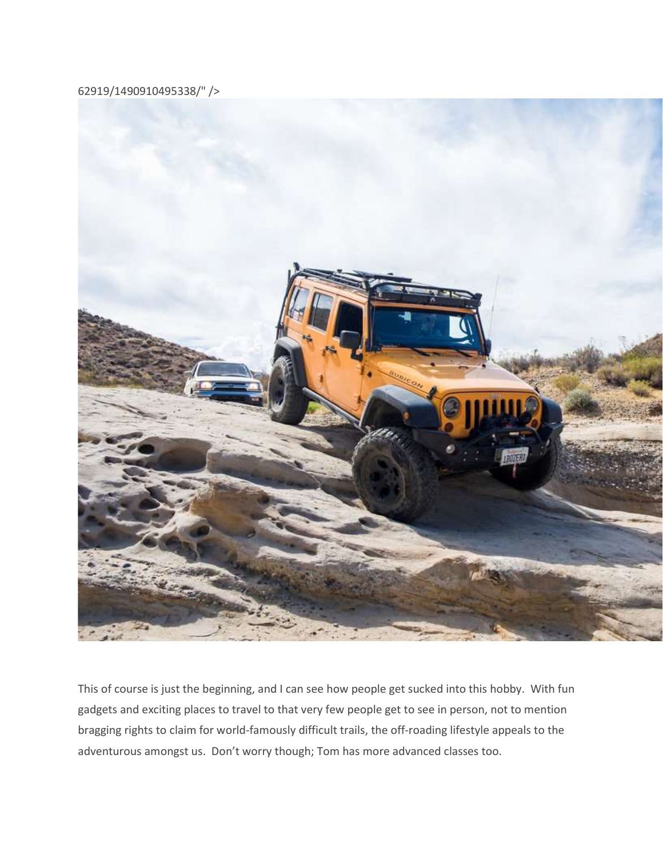62919/1490910495338/" />



This of course is just the beginning, and I can see how people get sucked into this hobby. With fun gadgets and exciting places to travel to that very few people get to see in person, not to mention bragging rights to claim for world-famously difficult trails, the off-roading lifestyle appeals to the adventurous amongst us. Don't worry though; Tom has more advanced classes too.